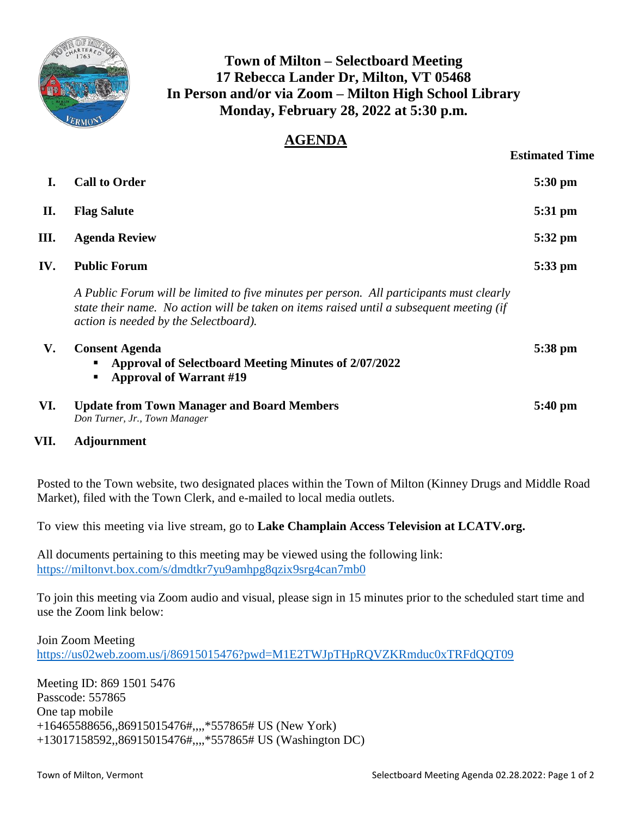

## **Town of Milton – Selectboard Meeting 17 Rebecca Lander Dr, Milton, VT 05468 In Person and/or via Zoom – Milton High School Library Monday, February 28, 2022 at 5:30 p.m.**

## **AGENDA**

|     |                                                                                                                                                                                                                               | <b>Estimated Time</b> |
|-----|-------------------------------------------------------------------------------------------------------------------------------------------------------------------------------------------------------------------------------|-----------------------|
| I.  | <b>Call to Order</b>                                                                                                                                                                                                          | 5:30 pm               |
| П.  | <b>Flag Salute</b>                                                                                                                                                                                                            | 5:31 pm               |
| Ш.  | <b>Agenda Review</b>                                                                                                                                                                                                          | 5:32 pm               |
| IV. | <b>Public Forum</b>                                                                                                                                                                                                           | 5:33 pm               |
|     | A Public Forum will be limited to five minutes per person. All participants must clearly<br>state their name. No action will be taken on items raised until a subsequent meeting (if<br>action is needed by the Selectboard). |                       |
| V.  | <b>Consent Agenda</b><br><b>Approval of Selectboard Meeting Minutes of 2/07/2022</b><br><b>Approval of Warrant #19</b><br>п                                                                                                   | 5:38 pm               |
| VI. | <b>Update from Town Manager and Board Members</b><br>Don Turner, Jr., Town Manager                                                                                                                                            | $5:40 \text{ pm}$     |

## **VII. Adjournment**

Posted to the Town website, two designated places within the Town of Milton (Kinney Drugs and Middle Road Market), filed with the Town Clerk, and e-mailed to local media outlets.

To view this meeting via live stream, go to **Lake Champlain Access Television at LCATV.org.**

All documents pertaining to this meeting may be viewed using the following link: <https://miltonvt.box.com/s/dmdtkr7yu9amhpg8qzix9srg4can7mb0>

To join this meeting via Zoom audio and visual, please sign in 15 minutes prior to the scheduled start time and use the Zoom link below:

Join Zoom Meeting https://us02web.zoom.us/j/86915015476?pwd=M1E2TWJpTHpROVZKRmduc0xTRFdOOT09

Meeting ID: 869 1501 5476 Passcode: 557865 One tap mobile +16465588656,,86915015476#,,,,\*557865# US (New York) +13017158592,,86915015476#,,,,\*557865# US (Washington DC)